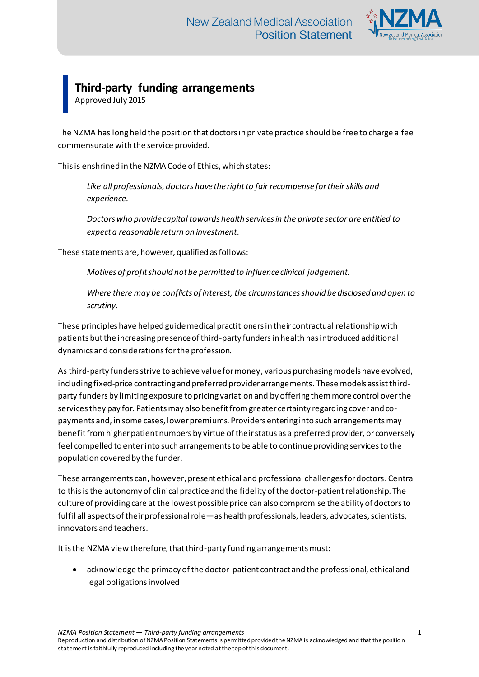

## **Third-party funding arrangements**

Approved July 2015

The NZMA has long held the position that doctors in private practice should be free to charge a fee commensurate with the service provided.

This is enshrined in the NZMA Code of Ethics, which states:

*Like all professionals, doctors have the right to fair recompense for their skills and experience.* 

*Doctors who provide capital towards health services in the private sector are entitled to expect a reasonable return on investment.*

These statements are, however, qualified as follows:

*Motives of profit should not be permitted to influence clinical judgement.* 

*Where there may be conflicts of interest, the circumstances should be disclosed and open to scrutiny.* 

These principles have helped guide medical practitioners in their contractual relationship with patients but the increasing presence of third-party funders in health has introduced additional dynamics and considerations for the profession.

As third-party funders strive to achieve value for money, various purchasing models have evolved, including fixed-price contracting and preferred provider arrangements. These models assist thirdparty funders by limiting exposure to pricing variation and by offering them more control over the services they pay for. Patients may also benefit from greater certainty regarding cover and copayments and, in some cases, lower premiums. Providers entering into such arrangements may benefit from higher patient numbers by virtue of their status as a preferred provider, or conversely feel compelled to enter into such arrangements to be able to continue providing services to the population covered by the funder.

These arrangements can, however, present ethical and professional challenges for doctors. Central to this is the autonomy of clinical practice and the fidelity of the doctor-patient relationship. The culture of providing care at the lowest possible price can also compromise the ability of doctors to fulfil all aspects of their professional role—as health professionals, leaders, advocates, scientists, innovators and teachers.

It is the NZMA view therefore, that third-party funding arrangements must:

 acknowledge the primacy of the doctor-patient contract and the professional, ethical and legal obligations involved